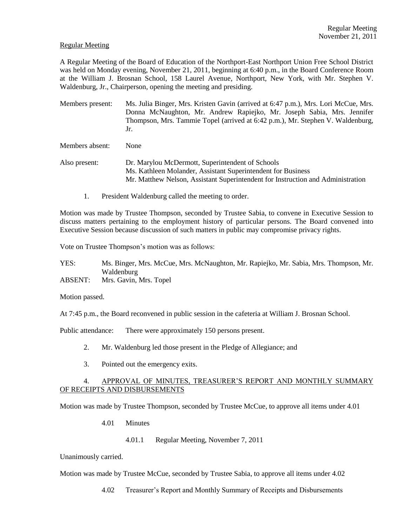#### Regular Meeting

A Regular Meeting of the Board of Education of the Northport-East Northport Union Free School District was held on Monday evening, November 21, 2011, beginning at 6:40 p.m., in the Board Conference Room at the William J. Brosnan School, 158 Laurel Avenue, Northport, New York, with Mr. Stephen V. Waldenburg, Jr., Chairperson, opening the meeting and presiding.

Members present: Ms. Julia Binger, Mrs. Kristen Gavin (arrived at 6:47 p.m.), Mrs. Lori McCue, Mrs. Donna McNaughton, Mr. Andrew Rapiejko, Mr. Joseph Sabia, Mrs. Jennifer Thompson, Mrs. Tammie Topel (arrived at 6:42 p.m.), Mr. Stephen V. Waldenburg, Jr.

Members absent: None

- Also present: Dr. Marylou McDermott, Superintendent of Schools Ms. Kathleen Molander, Assistant Superintendent for Business Mr. Matthew Nelson, Assistant Superintendent for Instruction and Administration
	- 1. President Waldenburg called the meeting to order.

Motion was made by Trustee Thompson, seconded by Trustee Sabia, to convene in Executive Session to discuss matters pertaining to the employment history of particular persons. The Board convened into Executive Session because discussion of such matters in public may compromise privacy rights.

Vote on Trustee Thompson's motion was as follows:

YES: Ms. Binger, Mrs. McCue, Mrs. McNaughton, Mr. Rapiejko, Mr. Sabia, Mrs. Thompson, Mr. Waldenburg

ABSENT: Mrs. Gavin, Mrs. Topel

Motion passed.

At 7:45 p.m., the Board reconvened in public session in the cafeteria at William J. Brosnan School.

Public attendance: There were approximately 150 persons present.

- 2. Mr. Waldenburg led those present in the Pledge of Allegiance; and
- 3. Pointed out the emergency exits.

# 4. APPROVAL OF MINUTES, TREASURER'S REPORT AND MONTHLY SUMMARY OF RECEIPTS AND DISBURSEMENTS

Motion was made by Trustee Thompson, seconded by Trustee McCue, to approve all items under 4.01

4.01 Minutes

4.01.1 Regular Meeting, November 7, 2011

Unanimously carried.

Motion was made by Trustee McCue, seconded by Trustee Sabia, to approve all items under 4.02

4.02 Treasurer's Report and Monthly Summary of Receipts and Disbursements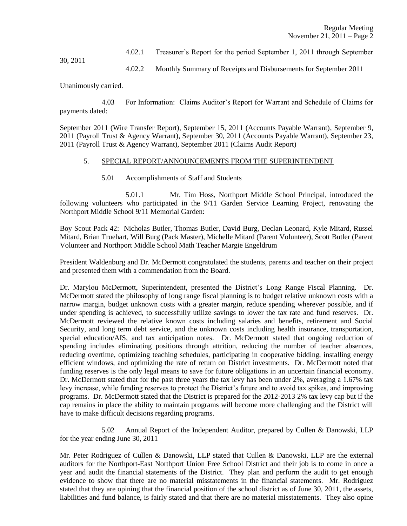4.02.1 Treasurer's Report for the period September 1, 2011 through September

30, 2011

4.02.2 Monthly Summary of Receipts and Disbursements for September 2011

Unanimously carried.

4.03 For Information: Claims Auditor's Report for Warrant and Schedule of Claims for payments dated:

September 2011 (Wire Transfer Report), September 15, 2011 (Accounts Payable Warrant), September 9, 2011 (Payroll Trust & Agency Warrant), September 30, 2011 (Accounts Payable Warrant), September 23, 2011 (Payroll Trust & Agency Warrant), September 2011 (Claims Audit Report)

#### 5. SPECIAL REPORT/ANNOUNCEMENTS FROM THE SUPERINTENDENT

#### 5.01 Accomplishments of Staff and Students

5.01.1 Mr. Tim Hoss, Northport Middle School Principal, introduced the following volunteers who participated in the 9/11 Garden Service Learning Project, renovating the Northport Middle School 9/11 Memorial Garden:

Boy Scout Pack 42: Nicholas Butler, Thomas Butler, David Burg, Declan Leonard, Kyle Mitard, Russel Mitard, Brian Truehart, Will Burg (Pack Master), Michelle Mitard (Parent Volunteer), Scott Butler (Parent Volunteer and Northport Middle School Math Teacher Margie Engeldrum

President Waldenburg and Dr. McDermott congratulated the students, parents and teacher on their project and presented them with a commendation from the Board.

Dr. Marylou McDermott, Superintendent, presented the District's Long Range Fiscal Planning. Dr. McDermott stated the philosophy of long range fiscal planning is to budget relative unknown costs with a narrow margin, budget unknown costs with a greater margin, reduce spending wherever possible, and if under spending is achieved, to successfully utilize savings to lower the tax rate and fund reserves. Dr. McDermott reviewed the relative known costs including salaries and benefits, retirement and Social Security, and long term debt service, and the unknown costs including health insurance, transportation, special education/AIS, and tax anticipation notes. Dr. McDermott stated that ongoing reduction of spending includes eliminating positions through attrition, reducing the number of teacher absences, reducing overtime, optimizing teaching schedules, participating in cooperative bidding, installing energy efficient windows, and optimizing the rate of return on District investments. Dr. McDermott noted that funding reserves is the only legal means to save for future obligations in an uncertain financial economy. Dr. McDermott stated that for the past three years the tax levy has been under 2%, averaging a 1.67% tax levy increase, while funding reserves to protect the District's future and to avoid tax spikes, and improving programs. Dr. McDermott stated that the District is prepared for the 2012-2013 2% tax levy cap but if the cap remains in place the ability to maintain programs will become more challenging and the District will have to make difficult decisions regarding programs.

5.02 Annual Report of the Independent Auditor, prepared by Cullen & Danowski, LLP for the year ending June 30, 2011

Mr. Peter Rodriguez of Cullen & Danowski, LLP stated that Cullen & Danowski, LLP are the external auditors for the Northport-East Northport Union Free School District and their job is to come in once a year and audit the financial statements of the District. They plan and perform the audit to get enough evidence to show that there are no material misstatements in the financial statements. Mr. Rodriguez stated that they are opining that the financial position of the school district as of June 30, 2011, the assets, liabilities and fund balance, is fairly stated and that there are no material misstatements. They also opine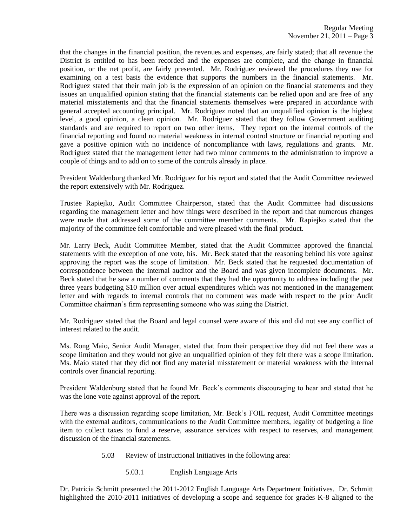that the changes in the financial position, the revenues and expenses, are fairly stated; that all revenue the District is entitled to has been recorded and the expenses are complete, and the change in financial position, or the net profit, are fairly presented. Mr. Rodriguez reviewed the procedures they use for examining on a test basis the evidence that supports the numbers in the financial statements. Mr. Rodriguez stated that their main job is the expression of an opinion on the financial statements and they issues an unqualified opinion stating that the financial statements can be relied upon and are free of any material misstatements and that the financial statements themselves were prepared in accordance with general accepted accounting principal. Mr. Rodriguez noted that an unqualified opinion is the highest level, a good opinion, a clean opinion. Mr. Rodriguez stated that they follow Government auditing standards and are required to report on two other items. They report on the internal controls of the financial reporting and found no material weakness in internal control structure or financial reporting and gave a positive opinion with no incidence of noncompliance with laws, regulations and grants. Mr. Rodriguez stated that the management letter had two minor comments to the administration to improve a couple of things and to add on to some of the controls already in place.

President Waldenburg thanked Mr. Rodriguez for his report and stated that the Audit Committee reviewed the report extensively with Mr. Rodriguez.

Trustee Rapiejko, Audit Committee Chairperson, stated that the Audit Committee had discussions regarding the management letter and how things were described in the report and that numerous changes were made that addressed some of the committee member comments. Mr. Rapiejko stated that the majority of the committee felt comfortable and were pleased with the final product.

Mr. Larry Beck, Audit Committee Member, stated that the Audit Committee approved the financial statements with the exception of one vote, his. Mr. Beck stated that the reasoning behind his vote against approving the report was the scope of limitation. Mr. Beck stated that he requested documentation of correspondence between the internal auditor and the Board and was given incomplete documents. Mr. Beck stated that he saw a number of comments that they had the opportunity to address including the past three years budgeting \$10 million over actual expenditures which was not mentioned in the management letter and with regards to internal controls that no comment was made with respect to the prior Audit Committee chairman's firm representing someone who was suing the District.

Mr. Rodriguez stated that the Board and legal counsel were aware of this and did not see any conflict of interest related to the audit.

Ms. Rong Maio, Senior Audit Manager, stated that from their perspective they did not feel there was a scope limitation and they would not give an unqualified opinion of they felt there was a scope limitation. Ms. Maio stated that they did not find any material misstatement or material weakness with the internal controls over financial reporting.

President Waldenburg stated that he found Mr. Beck's comments discouraging to hear and stated that he was the lone vote against approval of the report.

There was a discussion regarding scope limitation, Mr. Beck's FOIL request, Audit Committee meetings with the external auditors, communications to the Audit Committee members, legality of budgeting a line item to collect taxes to fund a reserve, assurance services with respect to reserves, and management discussion of the financial statements.

- 5.03 Review of Instructional Initiatives in the following area:
	- 5.03.1 English Language Arts

Dr. Patricia Schmitt presented the 2011-2012 English Language Arts Department Initiatives. Dr. Schmitt highlighted the 2010-2011 initiatives of developing a scope and sequence for grades K-8 aligned to the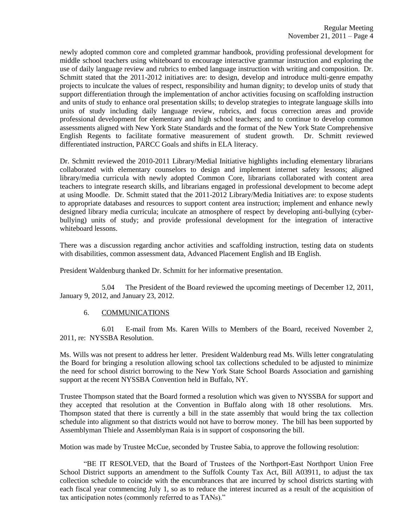newly adopted common core and completed grammar handbook, providing professional development for middle school teachers using whiteboard to encourage interactive grammar instruction and exploring the use of daily language review and rubrics to embed language instruction with writing and composition. Dr. Schmitt stated that the 2011-2012 initiatives are: to design, develop and introduce multi-genre empathy projects to inculcate the values of respect, responsibility and human dignity; to develop units of study that support differentiation through the implementation of anchor activities focusing on scaffolding instruction and units of study to enhance oral presentation skills; to develop strategies to integrate language skills into units of study including daily language review, rubrics, and focus correction areas and provide professional development for elementary and high school teachers; and to continue to develop common assessments aligned with New York State Standards and the format of the New York State Comprehensive English Regents to facilitate formative measurement of student growth. Dr. Schmitt reviewed differentiated instruction, PARCC Goals and shifts in ELA literacy.

Dr. Schmitt reviewed the 2010-2011 Library/Medial Initiative highlights including elementary librarians collaborated with elementary counselors to design and implement internet safety lessons; aligned library/media curricula with newly adopted Common Core, librarians collaborated with content area teachers to integrate research skills, and librarians engaged in professional development to become adept at using Moodle. Dr. Schmitt stated that the 2011-2012 Library/Media Initiatives are: to expose students to appropriate databases and resources to support content area instruction; implement and enhance newly designed library media curricula; inculcate an atmosphere of respect by developing anti-bullying (cyberbullying) units of study; and provide professional development for the integration of interactive whiteboard lessons.

There was a discussion regarding anchor activities and scaffolding instruction, testing data on students with disabilities, common assessment data, Advanced Placement English and IB English.

President Waldenburg thanked Dr. Schmitt for her informative presentation.

5.04 The President of the Board reviewed the upcoming meetings of December 12, 2011, January 9, 2012, and January 23, 2012.

# 6. COMMUNICATIONS

6.01 E-mail from Ms. Karen Wills to Members of the Board, received November 2, 2011, re: NYSSBA Resolution.

Ms. Wills was not present to address her letter. President Waldenburg read Ms. Wills letter congratulating the Board for bringing a resolution allowing school tax collections scheduled to be adjusted to minimize the need for school district borrowing to the New York State School Boards Association and garnishing support at the recent NYSSBA Convention held in Buffalo, NY.

Trustee Thompson stated that the Board formed a resolution which was given to NYSSBA for support and they accepted that resolution at the Convention in Buffalo along with 18 other resolutions. Mrs. Thompson stated that there is currently a bill in the state assembly that would bring the tax collection schedule into alignment so that districts would not have to borrow money. The bill has been supported by Assemblyman Thiele and Assemblyman Raia is in support of cosponsoring the bill.

Motion was made by Trustee McCue, seconded by Trustee Sabia, to approve the following resolution:

"BE IT RESOLVED, that the Board of Trustees of the Northport-East Northport Union Free School District supports an amendment to the Suffolk County Tax Act, Bill A03911, to adjust the tax collection schedule to coincide with the encumbrances that are incurred by school districts starting with each fiscal year commencing July 1, so as to reduce the interest incurred as a result of the acquisition of tax anticipation notes (commonly referred to as TANs)."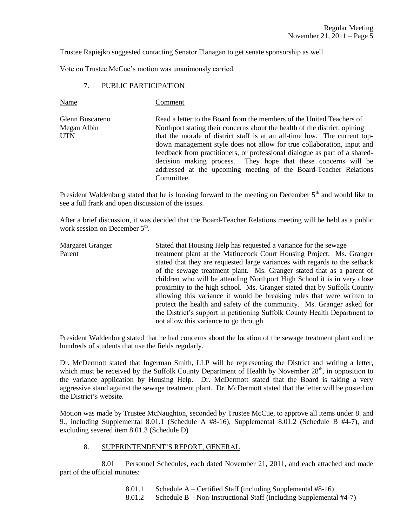Trustee Rapiejko suggested contacting Senator Flanagan to get senate sponsorship as well.

Vote on Trustee McCue's motion was unanimously carried.

## 7. PUBLIC PARTICIPATION

Name Comment

Glenn Buscareno Read a letter to the Board from the members of the United Teachers of Megan Albin Northport stating their concerns about the health of the district, opining UTN that the morale of district staff is at an all-time low. The current topdown management style does not allow for true collaboration, input and feedback from practitioners, or professional dialogue as part of a shareddecision making process. They hope that these concerns will be addressed at the upcoming meeting of the Board-Teacher Relations Committee.

President Waldenburg stated that he is looking forward to the meeting on December 5<sup>th</sup> and would like to see a full frank and open discussion of the issues.

After a brief discussion, it was decided that the Board-Teacher Relations meeting will be held as a public work session on December 5<sup>th</sup>.

Margaret Granger Stated that Housing Help has requested a variance for the sewage Parent treatment plant at the Matinecock Court Housing Project. Ms. Granger stated that they are requested large variances with regards to the setback of the sewage treatment plant. Ms. Granger stated that as a parent of children who will be attending Northport High School it is in very close proximity to the high school. Ms. Granger stated that by Suffolk County allowing this variance it would be breaking rules that were written to protect the health and safety of the community. Ms. Granger asked for the District's support in petitioning Suffolk County Health Department to not allow this variance to go through.

President Waldenburg stated that he had concerns about the location of the sewage treatment plant and the hundreds of students that use the fields regularly.

Dr. McDermott stated that Ingerman Smith, LLP will be representing the District and writing a letter, which must be received by the Suffolk County Department of Health by November  $28<sup>th</sup>$ , in opposition to the variance application by Housing Help. Dr. McDermott stated that the Board is taking a very aggressive stand against the sewage treatment plant. Dr. McDermott stated that the letter will be posted on the District's website.

Motion was made by Trustee McNaughton, seconded by Trustee McCue, to approve all items under 8. and 9., including Supplemental 8.01.1 (Schedule A #8-16), Supplemental 8.01.2 (Schedule B #4-7), and excluding severed item 8.01.3 (Schedule D)

# 8. SUPERINTENDENT'S REPORT, GENERAL

8.01 Personnel Schedules, each dated November 21, 2011, and each attached and made part of the official minutes:

- 8.01.1 Schedule A Certified Staff (including Supplemental #8-16)
- 8.01.2 Schedule B Non-Instructional Staff (including Supplemental #4-7)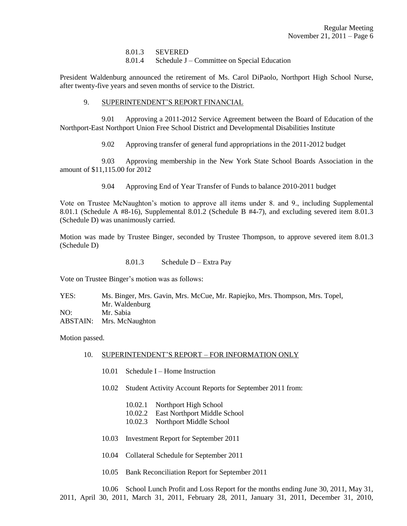8.01.3 SEVERED

8.01.4 Schedule J – Committee on Special Education

President Waldenburg announced the retirement of Ms. Carol DiPaolo, Northport High School Nurse, after twenty-five years and seven months of service to the District.

## 9. SUPERINTENDENT'S REPORT FINANCIAL

9.01 Approving a 2011-2012 Service Agreement between the Board of Education of the Northport-East Northport Union Free School District and Developmental Disabilities Institute

9.02 Approving transfer of general fund appropriations in the 2011-2012 budget

9.03 Approving membership in the New York State School Boards Association in the amount of \$11,115.00 for 2012

9.04 Approving End of Year Transfer of Funds to balance 2010-2011 budget

Vote on Trustee McNaughton's motion to approve all items under 8. and 9., including Supplemental 8.01.1 (Schedule A #8-16), Supplemental 8.01.2 (Schedule B #4-7), and excluding severed item 8.01.3 (Schedule D) was unanimously carried.

Motion was made by Trustee Binger, seconded by Trustee Thompson, to approve severed item 8.01.3 (Schedule D)

8.01.3 Schedule D – Extra Pay

Vote on Trustee Binger's motion was as follows:

YES: Ms. Binger, Mrs. Gavin, Mrs. McCue, Mr. Rapiejko, Mrs. Thompson, Mrs. Topel, Mr. Waldenburg NO: Mr. Sabia ABSTAIN: Mrs. McNaughton

Motion passed.

## 10. SUPERINTENDENT'S REPORT – FOR INFORMATION ONLY

- 10.01 Schedule I Home Instruction
- 10.02 Student Activity Account Reports for September 2011 from:
	- 10.02.1 Northport High School
	- 10.02.2 East Northport Middle School
	- 10.02.3 Northport Middle School
- 10.03 Investment Report for September 2011
- 10.04 Collateral Schedule for September 2011
- 10.05 Bank Reconciliation Report for September 2011

10.06 School Lunch Profit and Loss Report for the months ending June 30, 2011, May 31, 2011, April 30, 2011, March 31, 2011, February 28, 2011, January 31, 2011, December 31, 2010,